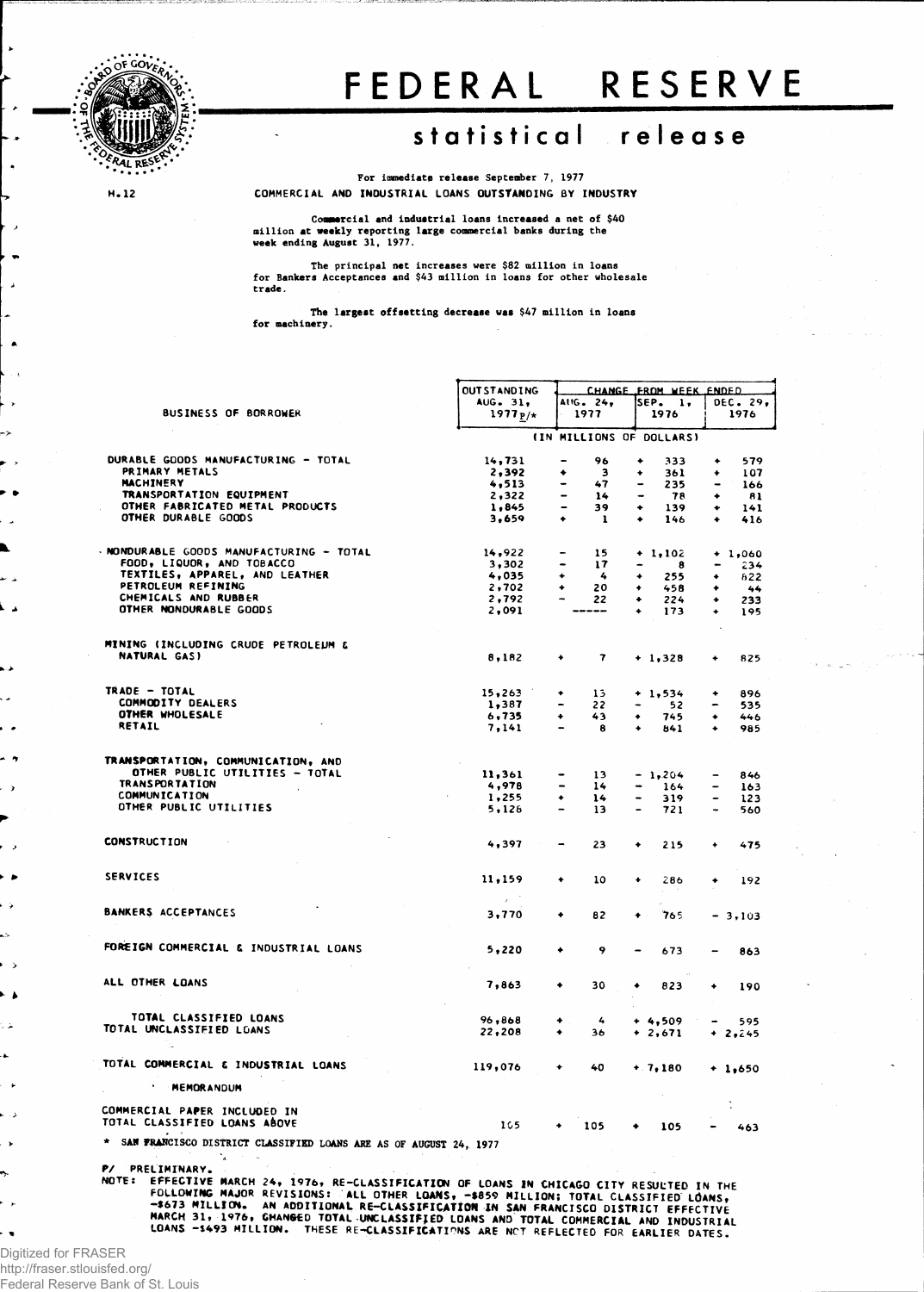

## FEDERA L RESERV E

## **statistica l releas e**

**For immediate release September 7, 1977 COMMERCIAL A ND INDUSTRIAL LOANS OUTSTANDING BY INDUSTRY**

**M.12** 

**Commercial and industrial loans increased a net of \$40 million at weekly reporting large commercial banks during the week ending August 31, 1977.**

The principal net increases were \$82 million in loans<br>for Bankers Acceptances and \$43 million in loans for other wholesale **trade.** 

**The largest offsetting decrease was \$47 million in loans for machinery.**

|               |                                                                                                                                                                             | <b>OUTSTANDING</b>     | CHANGE FROM WEEK ENDED             |                                     |                                     |  |  |  |
|---------------|-----------------------------------------------------------------------------------------------------------------------------------------------------------------------------|------------------------|------------------------------------|-------------------------------------|-------------------------------------|--|--|--|
|               | BUSINESS OF BORROWER                                                                                                                                                        | AUG. 31.<br>1977 $p/*$ | AIIG. 24,<br>1977                  | SEP. l,<br>1976                     | DEC. 29,<br>1976                    |  |  |  |
|               |                                                                                                                                                                             |                        |                                    |                                     |                                     |  |  |  |
|               |                                                                                                                                                                             |                        |                                    | (IN MILLIONS OF DOLLARS)            |                                     |  |  |  |
|               | DURABLE GOODS MANUFACTURING - TOTAL                                                                                                                                         | 14,731                 | 96                                 | 333                                 | 579<br>٠                            |  |  |  |
|               | PRIMARY METALS                                                                                                                                                              | 2,392                  | 3<br>۰                             | 361<br>۰                            | 107<br>٠                            |  |  |  |
|               | <b>MACHINERY</b>                                                                                                                                                            | 4,513                  | 47                                 | 235                                 | 166<br>$\qquad \qquad \blacksquare$ |  |  |  |
|               | TRANSPORTATION EQUIPMENT                                                                                                                                                    | 2,322                  | 14                                 | 78                                  | 81<br>٠                             |  |  |  |
|               | OTHER FABRICATED METAL PRODUCTS<br>OTHER DURABLE GOODS                                                                                                                      | 1,845<br>3,659         | 39<br>٠                            | 139<br>٠<br>146                     | 141<br>٠<br>٠                       |  |  |  |
|               |                                                                                                                                                                             |                        | -1                                 |                                     | 416                                 |  |  |  |
|               | NONDURABLE GOODS MANUFACTURING - TOTAL                                                                                                                                      | 14,922                 | 15<br>$\qquad \qquad \blacksquare$ | $+ 1,102$                           | $+1,060$                            |  |  |  |
|               | FOOD, LIQUOR, AND TOBACCO                                                                                                                                                   | 3,302                  | 17                                 | $\qquad \qquad \blacksquare$<br>- 8 | 234                                 |  |  |  |
|               | TEXTILES, APPAREL, AND LEATHER                                                                                                                                              | 4,035                  | -4                                 | 255<br>۰                            | 622<br>۰                            |  |  |  |
|               | PETROLEUM REFINING                                                                                                                                                          | 2,702                  | 20                                 | 458<br>٠                            | ٠<br>44                             |  |  |  |
|               | CHEMICALS AND RUBBER                                                                                                                                                        | 2,792                  | 22                                 | ۰<br>224                            | 233<br>٠                            |  |  |  |
| ۸             | OTHER NONDURABLE GOODS                                                                                                                                                      | 2,091                  | ---                                | 173                                 | ٠<br>195                            |  |  |  |
|               |                                                                                                                                                                             |                        |                                    |                                     |                                     |  |  |  |
|               | MINING (INCLUDING CRUDE PETROLEUM &<br>NATURAL GAS)                                                                                                                         |                        | $\mathbf{7}$<br>٠                  |                                     |                                     |  |  |  |
|               |                                                                                                                                                                             | 8,182                  |                                    | $+1,328$                            | 825                                 |  |  |  |
|               | TRADE - TOTAL                                                                                                                                                               | 15,263                 | 13<br>٠                            |                                     | 896                                 |  |  |  |
|               | COMMODITY DEALERS                                                                                                                                                           | 1,387                  | 22                                 | $+ 1, 534$<br>52                    | ۰<br>535                            |  |  |  |
|               | OTHER WHOLESALE                                                                                                                                                             | 6.735                  | 43<br>٠                            | 745<br>٠                            | ۰<br>446                            |  |  |  |
|               | RETAIL                                                                                                                                                                      | 7,141                  | 8                                  | 841                                 | 985                                 |  |  |  |
|               |                                                                                                                                                                             |                        |                                    |                                     |                                     |  |  |  |
| 7             | TRANSPORTATION, COMMUNICATION, AND                                                                                                                                          |                        |                                    |                                     |                                     |  |  |  |
|               | OTHER PUBLIC UTILITIES - TOTAL                                                                                                                                              | 11,361                 | 13                                 | $-1,204$                            | 846                                 |  |  |  |
|               | <b>TRANSPORTATION</b>                                                                                                                                                       | 4,978                  | 14                                 | 164                                 | -<br>163                            |  |  |  |
|               | <b>COMMUNICATION</b><br>OTHER PUBLIC UTILITIES                                                                                                                              | 1,255                  | 14<br>٠                            | 319                                 | $\overline{\phantom{0}}$<br>123     |  |  |  |
|               |                                                                                                                                                                             | 5,126                  | 13                                 | 721                                 | 560                                 |  |  |  |
|               | <b>CONSTRUCTION</b>                                                                                                                                                         | 4,397                  | 23<br>$\qquad \qquad \blacksquare$ | ٠<br>215                            | 475<br>٠                            |  |  |  |
| ٠             |                                                                                                                                                                             |                        |                                    |                                     |                                     |  |  |  |
|               | <b>SERVICES</b>                                                                                                                                                             | 11,159                 | ٠<br>10                            | ٠<br>286                            | 192<br>۰                            |  |  |  |
|               |                                                                                                                                                                             | $\chi \in \mathcal{I}$ |                                    |                                     |                                     |  |  |  |
|               | <b>BANKERS ACCEPTANCES</b>                                                                                                                                                  | 3,770                  | 82<br>٠                            | 765<br>۰                            | $-3,103$                            |  |  |  |
|               |                                                                                                                                                                             |                        |                                    |                                     |                                     |  |  |  |
|               | FOREIGN COMMERCIAL & INDUSTRIAL LOANS                                                                                                                                       | 5,220                  | 9<br>۰                             | 673                                 | 863                                 |  |  |  |
| $\mathcal{P}$ |                                                                                                                                                                             |                        |                                    |                                     |                                     |  |  |  |
|               | ALL OTHER LOANS                                                                                                                                                             |                        |                                    |                                     |                                     |  |  |  |
| ١             |                                                                                                                                                                             | 7,863                  | 30<br>٠                            | 823<br>۰                            | 190<br>۰                            |  |  |  |
|               | TOTAL CLASSIFIED LOANS                                                                                                                                                      |                        |                                    |                                     |                                     |  |  |  |
|               | TOTAL UNCLASSIEIED LOANS                                                                                                                                                    | 96,868                 | 4                                  | $+4,509$                            | 595                                 |  |  |  |
|               |                                                                                                                                                                             | 22,208                 | ۰<br>36                            | $+2,671$                            | $+ 2,245$                           |  |  |  |
|               | TOTAL COMMERCIAL & INDUSTRIAL LOANS                                                                                                                                         | 119,076                | ۰<br>40                            | $+7,180$                            |                                     |  |  |  |
|               | <b>HEMORANDUM</b>                                                                                                                                                           |                        |                                    |                                     | $+1,650$                            |  |  |  |
|               |                                                                                                                                                                             |                        |                                    |                                     |                                     |  |  |  |
|               | COMMERCIAL PAPER INCLUDED IN<br>TOTAL CLASSIFIED LOANS ABOVE                                                                                                                | 165.                   |                                    |                                     |                                     |  |  |  |
|               | * SAN FRANCISCO DISTRICT CLASSIFIED LOANS ARE AS OF AUGUST 24, 1977                                                                                                         |                        | 105                                | 105                                 | 463                                 |  |  |  |
|               |                                                                                                                                                                             |                        |                                    |                                     |                                     |  |  |  |
|               | P/ PRELIMINARY.                                                                                                                                                             |                        |                                    |                                     |                                     |  |  |  |
|               | NOTE: EFFECTIVE MARCH 24, 1976, RE-CLASSIFICATION OF LOANS IN CHICAGO CITY RESULTED IN THE                                                                                  |                        |                                    |                                     |                                     |  |  |  |
|               | FOLLOWING MAJOR REVISIONS: ALL OTHER LOANS, -\$859 MILLION; TOTAL CLASSIFIED LOANS,                                                                                         |                        |                                    |                                     |                                     |  |  |  |
|               | -\$673 MILLION. AN ADDITIONAL RE-CLASSIFICATION IN SAN FRANCISCO DISTRICT EFFECTIVE                                                                                         |                        |                                    |                                     |                                     |  |  |  |
|               | MARCH 31, 1976, CHANGED TOTAL UNCLASSIFIED LOANS AND TOTAL COMMERCIAL AND INDUSTRIAL<br>LOANS -\$493 MILLION. THESE RE-CLASSIFICATIONS ARE NOT REFLECTED FOR EARLIER DATES. |                        |                                    |                                     |                                     |  |  |  |
|               |                                                                                                                                                                             |                        |                                    |                                     |                                     |  |  |  |

Digitized for FRASER http://fraser.stlouisfed.org/ Federal Reserve Bank of St. Louis

>

 $\ddot{\phantom{a}}$ 

J.

**>** 

÷.